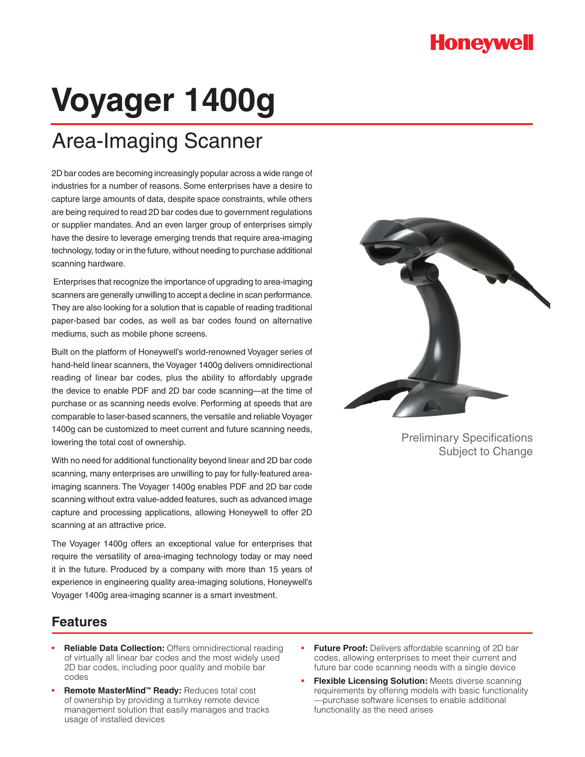## **Honeywell**

# **Voyager 1400g**

# Area-Imaging Scanner

2D bar codes are becoming increasingly popular across a wide range of industries for a number of reasons. Some enterprises have a desire to capture large amounts of data, despite space constraints, while others are being required to read 2D bar codes due to government regulations or supplier mandates. And an even larger group of enterprises simply have the desire to leverage emerging trends that require area-imaging technology, today or in the future, without needing to purchase additional scanning hardware.

 Enterprises that recognize the importance of upgrading to area-imaging scanners are generally unwilling to accept a decline in scan performance. They are also looking for a solution that is capable of reading traditional paper-based bar codes, as well as bar codes found on alternative mediums, such as mobile phone screens.

Built on the platform of Honeywell's world-renowned Voyager series of hand-held linear scanners, the Voyager 1400g delivers omnidirectional reading of linear bar codes, plus the ability to affordably upgrade the device to enable PDF and 2D bar code scanning—at the time of purchase or as scanning needs evolve. Performing at speeds that are comparable to laser-based scanners, the versatile and reliable Voyager 1400g can be customized to meet current and future scanning needs, lowering the total cost of ownership.

With no need for additional functionality beyond linear and 2D bar code scanning, many enterprises are unwilling to pay for fully-featured areaimaging scanners. The Voyager 1400g enables PDF and 2D bar code scanning without extra value-added features, such as advanced image capture and processing applications, allowing Honeywell to offer 2D scanning at an attractive price.

The Voyager 1400g offers an exceptional value for enterprises that require the versatility of area-imaging technology today or may need it in the future. Produced by a company with more than 15 years of experience in engineering quality area-imaging solutions, Honeywell's Voyager 1400g area-imaging scanner is a smart investment.



Preliminary Specifications Subject to Change

## **Features**

- **Reliable Data Collection:** Offers omnidirectional reading of virtually all linear bar codes and the most widely used 2D bar codes, including poor quality and mobile bar codes
- **Remote MasterMind™ Ready:** Reduces total cost of ownership by providing a turnkey remote device management solution that easily manages and tracks usage of installed devices
- **Future Proof:** Delivers affordable scanning of 2D bar codes, allowing enterprises to meet their current and future bar code scanning needs with a single device
- **Flexible Licensing Solution:** Meets diverse scanning requirements by offering models with basic functionality —purchase software licenses to enable additional functionality as the need arises